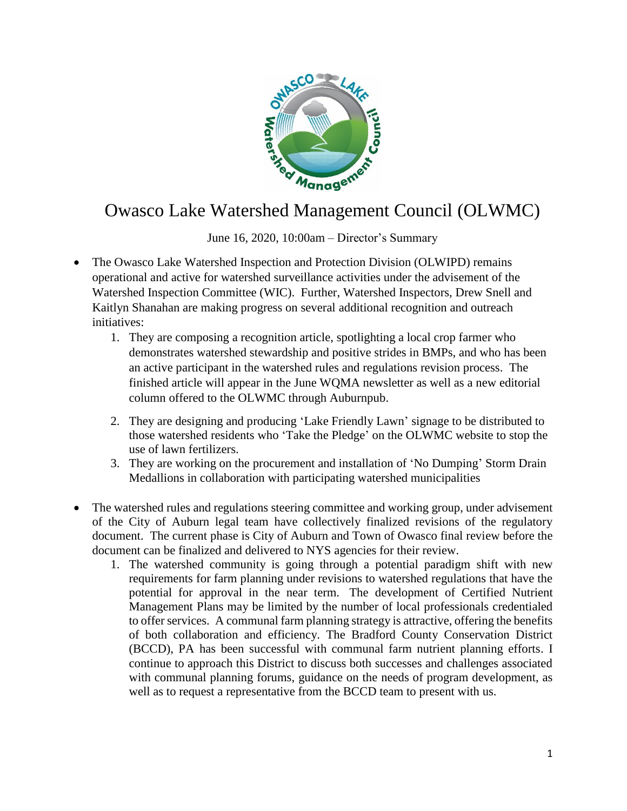

## Owasco Lake Watershed Management Council (OLWMC)

June 16, 2020, 10:00am – Director's Summary

- The Owasco Lake Watershed Inspection and Protection Division (OLWIPD) remains operational and active for watershed surveillance activities under the advisement of the Watershed Inspection Committee (WIC). Further, Watershed Inspectors, Drew Snell and Kaitlyn Shanahan are making progress on several additional recognition and outreach initiatives:
	- 1. They are composing a recognition article, spotlighting a local crop farmer who demonstrates watershed stewardship and positive strides in BMPs, and who has been an active participant in the watershed rules and regulations revision process. The finished article will appear in the June WQMA newsletter as well as a new editorial column offered to the OLWMC through Auburnpub.
	- 2. They are designing and producing 'Lake Friendly Lawn' signage to be distributed to those watershed residents who 'Take the Pledge' on the OLWMC website to stop the use of lawn fertilizers.
	- 3. They are working on the procurement and installation of 'No Dumping' Storm Drain Medallions in collaboration with participating watershed municipalities
- The watershed rules and regulations steering committee and working group, under advisement of the City of Auburn legal team have collectively finalized revisions of the regulatory document. The current phase is City of Auburn and Town of Owasco final review before the document can be finalized and delivered to NYS agencies for their review.
	- 1. The watershed community is going through a potential paradigm shift with new requirements for farm planning under revisions to watershed regulations that have the potential for approval in the near term. The development of Certified Nutrient Management Plans may be limited by the number of local professionals credentialed to offer services. A communal farm planning strategy is attractive, offering the benefits of both collaboration and efficiency. The Bradford County Conservation District (BCCD), PA has been successful with communal farm nutrient planning efforts. I continue to approach this District to discuss both successes and challenges associated with communal planning forums, guidance on the needs of program development, as well as to request a representative from the BCCD team to present with us.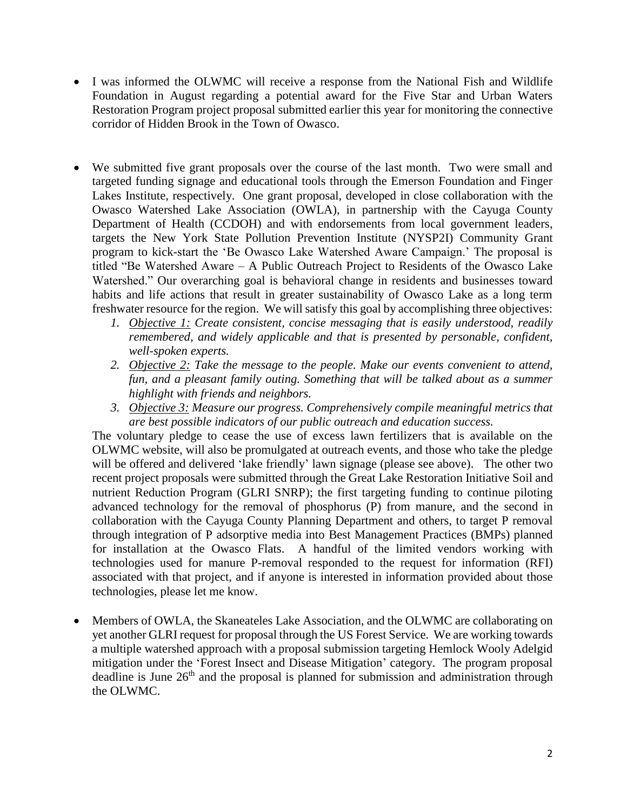- I was informed the OLWMC will receive a response from the National Fish and Wildlife Foundation in August regarding a potential award for the Five Star and Urban Waters Restoration Program project proposal submitted earlier this year for monitoring the connective corridor of Hidden Brook in the Town of Owasco.
- We submitted five grant proposals over the course of the last month. Two were small and targeted funding signage and educational tools through the Emerson Foundation and Finger Lakes Institute, respectively. One grant proposal, developed in close collaboration with the Owasco Watershed Lake Association (OWLA), in partnership with the Cayuga County Department of Health (CCDOH) and with endorsements from local government leaders, targets the New York State Pollution Prevention Institute (NYSP2I) Community Grant program to kick-start the 'Be Owasco Lake Watershed Aware Campaign.' The proposal is titled "Be Watershed Aware – A Public Outreach Project to Residents of the Owasco Lake Watershed." Our overarching goal is behavioral change in residents and businesses toward habits and life actions that result in greater sustainability of Owasco Lake as a long term freshwater resource for the region. We will satisfy this goal by accomplishing three objectives:
	- *1. Objective 1: Create consistent, concise messaging that is easily understood, readily remembered, and widely applicable and that is presented by personable, confident, well-spoken experts.*
	- *2. Objective 2: Take the message to the people. Make our events convenient to attend, fun, and a pleasant family outing. Something that will be talked about as a summer highlight with friends and neighbors.*
	- *3. Objective 3: Measure our progress. Comprehensively compile meaningful metrics that are best possible indicators of our public outreach and education success.*

The voluntary pledge to cease the use of excess lawn fertilizers that is available on the OLWMC website, will also be promulgated at outreach events, and those who take the pledge will be offered and delivered 'lake friendly' lawn signage (please see above). The other two recent project proposals were submitted through the Great Lake Restoration Initiative Soil and nutrient Reduction Program (GLRI SNRP); the first targeting funding to continue piloting advanced technology for the removal of phosphorus (P) from manure, and the second in collaboration with the Cayuga County Planning Department and others, to target P removal through integration of P adsorptive media into Best Management Practices (BMPs) planned for installation at the Owasco Flats. A handful of the limited vendors working with technologies used for manure P-removal responded to the request for information (RFI) associated with that project, and if anyone is interested in information provided about those technologies, please let me know.

 Members of OWLA, the Skaneateles Lake Association, and the OLWMC are collaborating on yet another GLRI request for proposal through the US Forest Service. We are working towards a multiple watershed approach with a proposal submission targeting Hemlock Wooly Adelgid mitigation under the 'Forest Insect and Disease Mitigation' category. The program proposal deadline is June  $26<sup>th</sup>$  and the proposal is planned for submission and administration through the OLWMC.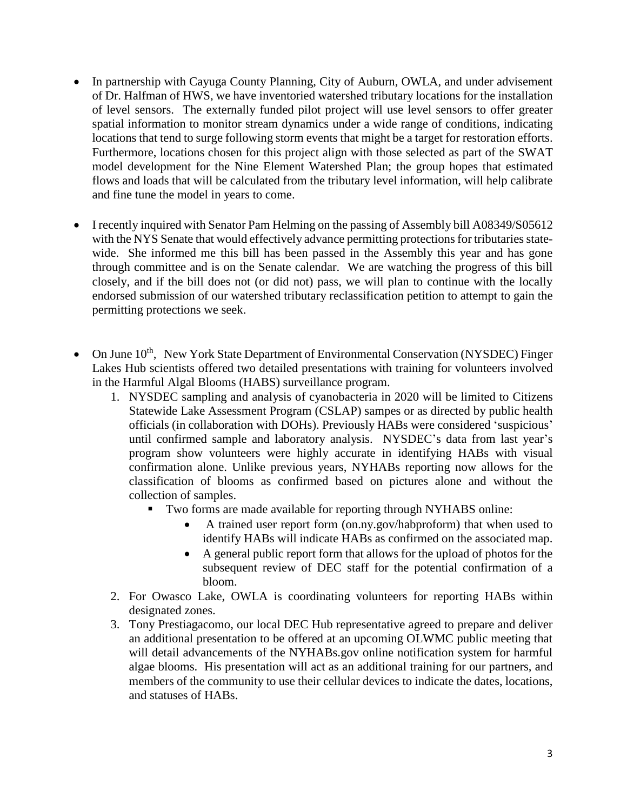- In partnership with Cayuga County Planning, City of Auburn, OWLA, and under advisement of Dr. Halfman of HWS, we have inventoried watershed tributary locations for the installation of level sensors. The externally funded pilot project will use level sensors to offer greater spatial information to monitor stream dynamics under a wide range of conditions, indicating locations that tend to surge following storm events that might be a target for restoration efforts. Furthermore, locations chosen for this project align with those selected as part of the SWAT model development for the Nine Element Watershed Plan; the group hopes that estimated flows and loads that will be calculated from the tributary level information, will help calibrate and fine tune the model in years to come.
- I recently inquired with Senator Pam Helming on the passing of Assembly bill A08349/S05612 with the NYS Senate that would effectively advance permitting protections for tributaries statewide. She informed me this bill has been passed in the Assembly this year and has gone through committee and is on the Senate calendar. We are watching the progress of this bill closely, and if the bill does not (or did not) pass, we will plan to continue with the locally endorsed submission of our watershed tributary reclassification petition to attempt to gain the permitting protections we seek.
- On June 10<sup>th</sup>, New York State Department of Environmental Conservation (NYSDEC) Finger Lakes Hub scientists offered two detailed presentations with training for volunteers involved in the Harmful Algal Blooms (HABS) surveillance program.
	- 1. NYSDEC sampling and analysis of cyanobacteria in 2020 will be limited to Citizens Statewide Lake Assessment Program (CSLAP) sampes or as directed by public health officials (in collaboration with DOHs). Previously HABs were considered 'suspicious' until confirmed sample and laboratory analysis. NYSDEC's data from last year's program show volunteers were highly accurate in identifying HABs with visual confirmation alone. Unlike previous years, NYHABs reporting now allows for the classification of blooms as confirmed based on pictures alone and without the collection of samples.
		- Two forms are made available for reporting through NYHABS online:
			- A trained user report form (on.ny.gov/habproform) that when used to identify HABs will indicate HABs as confirmed on the associated map.
			- A general public report form that allows for the upload of photos for the subsequent review of DEC staff for the potential confirmation of a bloom.
	- 2. For Owasco Lake, OWLA is coordinating volunteers for reporting HABs within designated zones.
	- 3. Tony Prestiagacomo, our local DEC Hub representative agreed to prepare and deliver an additional presentation to be offered at an upcoming OLWMC public meeting that will detail advancements of the NYHABs.gov online notification system for harmful algae blooms. His presentation will act as an additional training for our partners, and members of the community to use their cellular devices to indicate the dates, locations, and statuses of HABs.